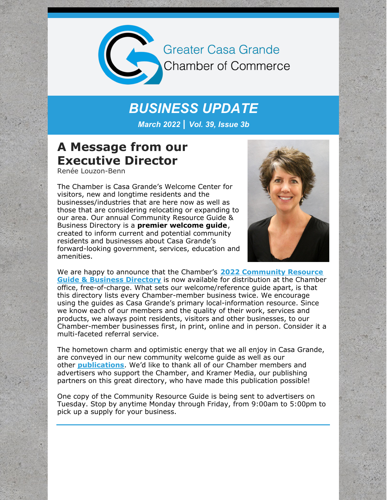

**Greater Casa Grande Chamber of Commerce** 

# *BUSINESS UPDATE*

*March 2022 | Vol. 39, Issue 3b*

## **A Message from our Executive Director**

Renée Louzon-Benn

The Chamber is Casa Grande's Welcome Center for visitors, new and longtime residents and the businesses/industries that are here now as well as those that are considering relocating or expanding to our area. Our annual Community Resource Guide & Business Directory is a **premier welcome guide**, created to inform current and potential community residents and businesses about Casa Grande's forward-looking government, services, education and amenities.



We are happy to announce that the Chamber's **2022 [Community](https://e.issuu.com/embed.html?d=cg_chamber_book_2022_final-compressed&u=pinalcentral) Resource Guide & Business Directory** is now available for distribution at the Chamber office, free-of-charge. What sets our welcome/reference guide apart, is that this directory lists every Chamber-member business twice. We encourage using the guides as Casa Grande's primary local-information resource. Since we know each of our members and the quality of their work, services and products, we always point residents, visitors and other businesses, to our Chamber-member businesses first, in print, online and in person. Consider it a multi-faceted referral service.

The hometown charm and optimistic energy that we all enjoy in Casa Grande, are conveyed in our new community welcome guide as well as our other **[publications](https://e.issuu.com/embed.html?d=cg_visitors_guide_2022&u=pinalcentral)**. We'd like to thank all of our Chamber members and advertisers who support the Chamber, and Kramer Media, our publishing partners on this great directory, who have made this publication possible!

One copy of the Community Resource Guide is being sent to advertisers on Tuesday. Stop by anytime Monday through Friday, from 9:00am to 5:00pm to pick up a supply for your business.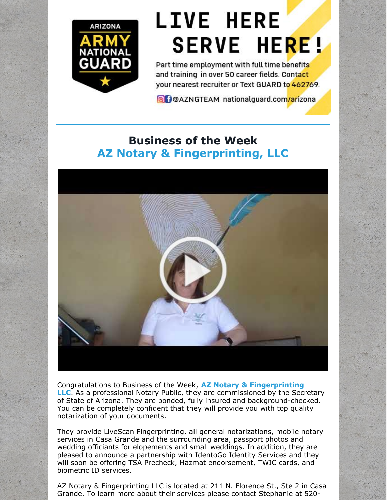

# **LIVE HERE SERVE HERE!**

Part time employment with full time benefits and training in over 50 career fields. Contact your nearest recruiter or Text GUARD to 462769.

**O** POAZNGTEAM nationalguard.com/arizona

## **Business of the Week AZ Notary & [Fingerprinting,](http://www.aznotaryandfingerprinting.com/) LLC**



[Congratulations](http://www.aznotaryandfingerprinting.com/) to Business of the Week, **AZ Notary & Fingerprinting LLC**. As a professional Notary Public, they are commissioned by the Secretary of State of Arizona. They are bonded, fully insured and background-checked. You can be completely confident that they will provide you with top quality notarization of your documents.

They provide LiveScan Fingerprinting, all general notarizations, mobile notary services in Casa Grande and the surrounding area, passport photos and wedding officiants for elopements and small weddings. In addition, they are pleased to announce a partnership with IdentoGo Identity Services and they will soon be offering TSA Precheck, Hazmat endorsement, TWIC cards, and biometric ID services.

AZ Notary & Fingerprinting LLC is located at 211 N. Florence St., Ste 2 in Casa Grande. To learn more about their services please contact Stephanie at 520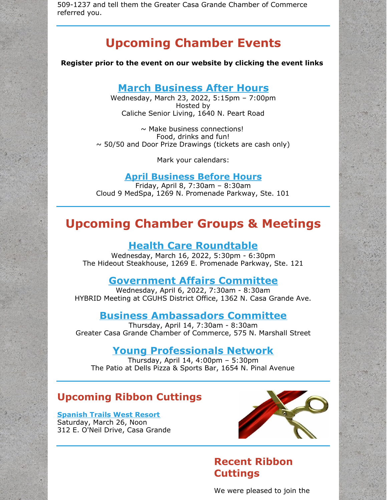509-1237 and tell them the Greater Casa Grande Chamber of Commerce referred you.

## **Upcoming Chamber Events**

**Register prior to the event on our website by clicking the event links**

#### **March [Business](https://cca.casagrandechamber.org/EvtListing.aspx?dbid2=AZCAGR&evtid=28064&class=E) After Hours**

Wednesday, March 23, 2022, 5:15pm – 7:00pm Hosted by Caliche Senior Living, 1640 N. Peart Road

 $\sim$  Make business connections! Food, drinks and fun!  $\sim$  50/50 and Door Prize Drawings (tickets are cash only)

Mark your calendars:

#### **April [Business](https://cca.casagrandechamber.org/EvtListing.aspx?dbid2=AZCAGR&evtid=31001&class=E) Before Hours**

Friday, April 8, 7:30am – 8:30am Cloud 9 MedSpa, 1269 N. Promenade Parkway, Ste. 101

## **Upcoming Chamber Groups & Meetings**

#### **Health Care [Roundtable](https://cca.casagrandechamber.org/EvtListing.aspx?dbid2=AZCAGR&evtid=33088&class=E)**

Wednesday, March 16, 2022, 5:30pm - 6:30pm The Hideout Steakhouse, 1269 E. Promenade Parkway, Ste. 121

#### **[Government](https://cca.casagrandechamber.org/EvtListing.aspx?dbid2=AZCAGR&evtid=28085&class=E) Affairs Committee**

Wednesday, April 6, 2022, 7:30am - 8:30am HYBRID Meeting at CGUHS District Office, 1362 N. Casa Grande Ave.

#### **Business [Ambassadors](https://cca.casagrandechamber.org/EvtListing.aspx?dbid2=AZCAGR&evtid=30966&class=E) Committee**

Thursday, April 14, 7:30am - 8:30am Greater Casa Grande Chamber of Commerce, 575 N. Marshall Street

#### **Young [Professionals](https://cca.casagrandechamber.org/EvtListing.aspx?dbid2=AZCAGR&evtid=31159&class=E) Network**

Thursday, April 14, 4:00pm – 5:30pm The Patio at Dells Pizza & Sports Bar, 1654 N. Pinal Avenue

#### **Upcoming Ribbon Cuttings**

**[Spanish](http://www.spanishtrailsresort.com) Trails West Resort** Saturday, March 26, Noon 312 E. O'Neil Drive, Casa Grande



### **Recent Ribbon Cuttings**

We were pleased to join the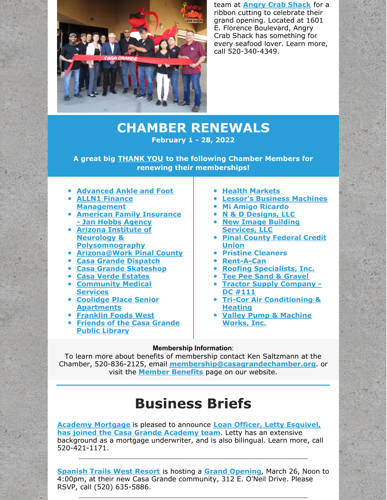

team at **Angry Crab [Shack](https://www.angrycrabshack.com/casa-grande/)** for a ribbon cutting to celebrate their grand opening. Located at 1601 E. Florence Boulevard, Angry Crab Shack has something for every seafood lover. Learn more, call 520-340-4349.

## **CHAMBER RENEWALS February 1 - 28, 2022**

**A great big THANK YOU to the following Chamber Members for renewing their memberships!**

- **[Advanced](http://www.advancedanklefoot.com/) Ankle and Foot**
- **ALLN1 Finance [Management](http://www.alln1fm.com)**
- **American Family [Insurance](http://www.janhobbsagency.com) - Jan Hobbs Agency**
- **Arizona Institute of Neurology & [Polysomnography](http://www.neurologycasagrande.com)**
- **[Arizona@Work](http://arizonaatwork.com/locations/pinal-county) Pinal County**
- **Casa Grande [Dispatch](http://www.pinalcentral.com)**
- **Casa Grande [Skateshop](http://www.skatecg.com)**
- **Casa Verde [Estates](http://www.casaverdeestates.com)**
- **[Community](http://www.communitymedicalservices.org) Medical Services**
- **Coolidge Place Senior [Apartments](http://www.nlrmanagement.com/property/coolidge-arizona-apartments/)**
- **[Franklin](http://www.franklinfoods.com) Foods West**
- **[Friends](http://www.friendscglibrary.org) of the Casa Grande Public Library**
- **Health [Markets](http://www.healthmarkets.com)**
- **Lessor's Business [Machines](http://www.lbmi.com)**
- **Mi Amigo Ricardo**
- **N & D [Designs,](http://www.n-d-designs.com) LLC**
- **New Image Building [Services,](http://www.newimagebuilding.com) LLC**
- **Pinal County [Federal](http://www.pinalcountyfcu.com) Credit Union**
- **Pristine Cleaners**
- **[Rent-A-Can](http://www.rentacanaz.com)**
- **Roofing [Specialists,](http://www.roofingspecialistinc.com) Inc.**
- **Tee Pee Sand & [Gravel](http://www.teepeesand-gravel.com)**
- **Tractor Supply [Company](http://www.tractorsupply.com) - DC #111**
- **Tri-Cor Air [Conditioning](http://www.tricor-air.com) & Heating**
- **Valley Pump & [Machine](http://www.valleypumpandmachine.com) Works, Inc.**

#### **Membership Information**:

To learn more about benefits of membership contact Ken Saltzmann at the Chamber, 520-836-2125, email **[membership@casagrandechamber.org](mailto:membership@casagrandechamber.org)**. or visit the **Member [Benefits](https://casagrandechamber.org/member-benefits/)** page on our website.

## **Business Briefs**

**Academy [Mortgag](http://www.academymortgage.com/dawnsvoboda)[e](https://files.constantcontact.com/8c5f2f7b701/b9b67404-0e9a-4529-8896-9751ad50db38.pdf?rdr=true)** is pleased to announce **Loan Officer, Letty Esquivel, has joined the Casa Grande Academy team**. Letty has an extensive background as a mortgage underwriter, and is also bilingual. Learn more, call 520-421-1171.

**[Spanish](https://www.spanishtrailsresort.com/) Trails West Resort** is hosting a **Grand [Opening](https://files.constantcontact.com/8c5f2f7b701/7f856f76-ac70-4794-ae1c-b3b13033ff2a.pdf?rdr=true)**, March 26, Noon to 4:00pm, at their new Casa Grande community, 312 E. O'Neil Drive. Please RSVP, call (520) 635-5886.

 $\_$  , and the set of the set of the set of the set of the set of the set of the set of the set of the set of the set of the set of the set of the set of the set of the set of the set of the set of the set of the set of th

 $\_$  , and the set of the set of the set of the set of the set of the set of the set of the set of the set of the set of the set of the set of the set of the set of the set of the set of the set of the set of the set of th